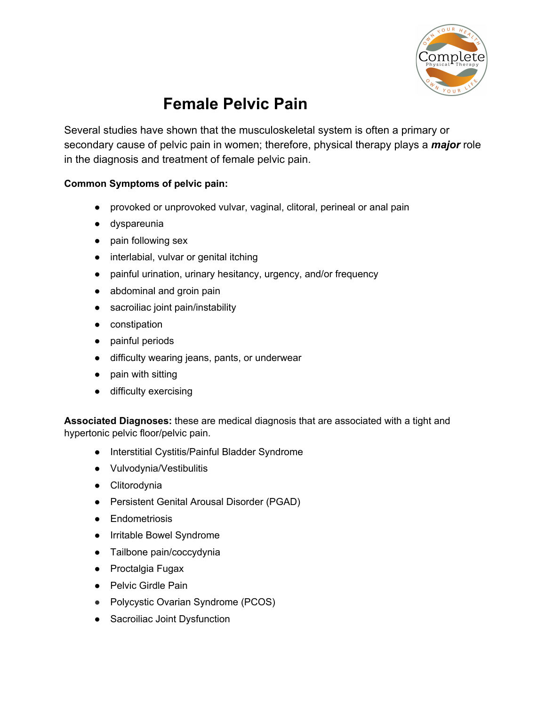

## **Female Pelvic Pain**

Several studies have shown that the musculoskeletal system is often a primary or secondary cause of pelvic pain in women; therefore, physical therapy plays a *major* role in the diagnosis and treatment of female pelvic pain.

## **Common Symptoms of pelvic pain:**

- provoked or unprovoked vulvar, vaginal, clitoral, perineal or anal pain
- dyspareunia
- pain following sex
- interlabial, vulvar or genital itching
- painful urination, urinary hesitancy, urgency, and/or frequency
- abdominal and groin pain
- sacroiliac joint pain/instability
- constipation
- painful periods
- difficulty wearing jeans, pants, or underwear
- pain with sitting
- difficulty exercising

**Associated Diagnoses:** these are medical diagnosis that are associated with a tight and hypertonic pelvic floor/pelvic pain.

- Interstitial Cystitis/Painful Bladder Syndrome
- Vulvodynia/Vestibulitis
- Clitorodynia
- Persistent Genital Arousal Disorder (PGAD)
- Endometriosis
- Irritable Bowel Syndrome
- Tailbone pain/coccydynia
- Proctalgia Fugax
- Pelvic Girdle Pain
- Polycystic Ovarian Syndrome (PCOS)
- Sacroiliac Joint Dysfunction